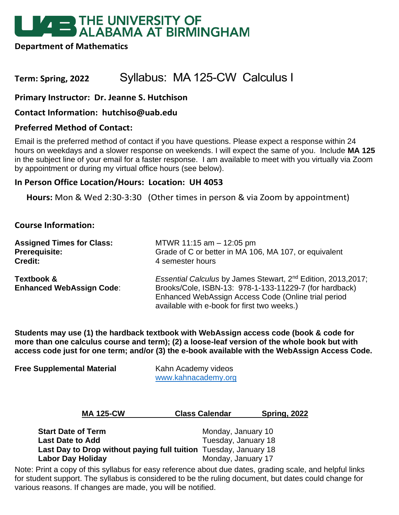# **EXAMPLE THE UNIVERSITY OF<br>ALABAMA AT BIRMINGHAM**

**Department of Mathematics**

## **Term: Spring, 2022** Syllabus: MA 125-CW Calculus I

**Primary Instructor: Dr. Jeanne S. Hutchison**

**Contact Information: hutchiso@uab.edu**

## **Preferred Method of Contact:**

Email is the preferred method of contact if you have questions. Please expect a response within 24 hours on weekdays and a slower response on weekends. I will expect the same of you. Include **MA 125**  in the subject line of your email for a faster response. I am available to meet with you virtually via Zoom by appointment or during my virtual office hours (see below).

## **In Person Office Location/Hours: Location: UH 4053**

**Hours:** Mon & Wed 2:30-3:30 (Other times in person & via Zoom by appointment)

## **Course Information:**

| <b>Assigned Times for Class:</b>              | MTWR 11:15 am $-$ 12:05 pm                                                                                                                                                                                                                |  |  |
|-----------------------------------------------|-------------------------------------------------------------------------------------------------------------------------------------------------------------------------------------------------------------------------------------------|--|--|
| <b>Prerequisite:</b>                          | Grade of C or better in MA 106, MA 107, or equivalent                                                                                                                                                                                     |  |  |
| <b>Credit:</b>                                | 4 semester hours                                                                                                                                                                                                                          |  |  |
| Textbook &<br><b>Enhanced WebAssign Code:</b> | Essential Calculus by James Stewart, 2 <sup>nd</sup> Edition, 2013, 2017;<br>Brooks/Cole, ISBN-13: 978-1-133-11229-7 (for hardback)<br>Enhanced WebAssign Access Code (Online trial period<br>available with e-book for first two weeks.) |  |  |

**Students may use (1) the hardback textbook with WebAssign access code (book & code for more than one calculus course and term); (2) a loose-leaf version of the whole book but with access code just for one term; and/or (3) the e-book available with the WebAssign Access Code.** 

| <b>Free Supplemental Material</b> | Kahn Academy videos |  |  |
|-----------------------------------|---------------------|--|--|
|                                   | www.kahnacademy.org |  |  |

| <b>MA 125-CW</b> | <b>Class Calendar</b> | <b>Spring, 2022</b> |  |
|------------------|-----------------------|---------------------|--|
|                  |                       |                     |  |

| <b>Start Date of Term</b>                                        | Monday, January 10  |
|------------------------------------------------------------------|---------------------|
| <b>Last Date to Add</b>                                          | Tuesday, January 18 |
| Last Day to Drop without paying full tuition Tuesday, January 18 |                     |
| <b>Labor Day Holiday</b>                                         | Monday, January 17  |

Note: Print a copy of this syllabus for easy reference about due dates, grading scale, and helpful links for student support. The syllabus is considered to be the ruling document, but dates could change for various reasons. If changes are made, you will be notified.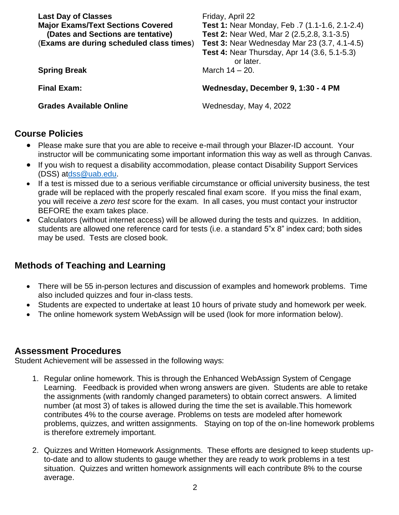| <b>Last Day of Classes</b><br><b>Major Exams/Text Sections Covered</b><br>(Dates and Sections are tentative)<br>(Exams are during scheduled class times) | Friday, April 22<br>Test 1: Near Monday, Feb. 7 (1.1-1.6, 2.1-2.4)<br><b>Test 2: Near Wed, Mar 2 (2.5, 2.8, 3.1-3.5)</b><br>Test 3: Near Wednesday Mar 23 (3.7, 4.1-4.5)<br><b>Test 4: Near Thursday, Apr 14 (3.6, 5.1-5.3)</b><br>or later. |
|----------------------------------------------------------------------------------------------------------------------------------------------------------|----------------------------------------------------------------------------------------------------------------------------------------------------------------------------------------------------------------------------------------------|
| <b>Spring Break</b>                                                                                                                                      | March $14 - 20$ .                                                                                                                                                                                                                            |
| <b>Final Exam:</b>                                                                                                                                       | Wednesday, December 9, 1:30 - 4 PM                                                                                                                                                                                                           |
| <b>Grades Available Online</b>                                                                                                                           | Wednesday, May 4, 2022                                                                                                                                                                                                                       |

## **Course Policies**

- Please make sure that you are able to receive e-mail through your Blazer-ID account. Your instructor will be communicating some important information this way as well as through Canvas.
- If you wish to request a disability accommodation, please contact Disability Support Services (DSS) a[tdss@uab.edu.](mailto:dss@uab.edu)
- If a test is missed due to a serious verifiable circumstance or official university business, the test grade will be replaced with the properly rescaled final exam score. If you miss the final exam, you will receive a *zero test* score for the exam. In all cases, you must contact your instructor BEFORE the exam takes place.
- Calculators (without internet access) will be allowed during the tests and quizzes. In addition, students are allowed one reference card for tests (i.e. a standard 5"x 8" index card; both sides may be used. Tests are closed book.

## **Methods of Teaching and Learning**

- There will be 55 in-person lectures and discussion of examples and homework problems. Time also included quizzes and four in-class tests.
- Students are expected to undertake at least 10 hours of private study and homework per week.
- The online homework system WebAssign will be used (look for more information below).

## **Assessment Procedures**

Student Achievement will be assessed in the following ways:

- 1. Regular online homework. This is through the Enhanced WebAssign System of Cengage Learning. Feedback is provided when wrong answers are given. Students are able to retake the assignments (with randomly changed parameters) to obtain correct answers. A limited number (at most 3) of takes is allowed during the time the set is available.This homework contributes 4% to the course average. Problems on tests are modeled after homework problems, quizzes, and written assignments. Staying on top of the on-line homework problems is therefore extremely important.
- 2. Quizzes and Written Homework Assignments. These efforts are designed to keep students upto-date and to allow students to gauge whether they are ready to work problems in a test situation. Quizzes and written homework assignments will each contribute 8% to the course average.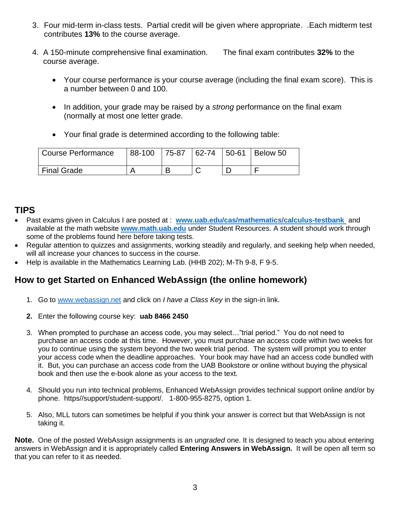- 3. Four mid-term in-class tests. Partial credit will be given where appropriate. .Each midterm test contributes **13%** to the course average.
- 4. A 150-minute comprehensive final examination. The final exam contributes **32%** to the course average.
	- Your course performance is your course average (including the final exam score). This is a number between 0 and 100.
	- In addition, your grade may be raised by a *strong* performance on the final exam (normally at most one letter grade.
	- Your final grade is determined according to the following table:

| <b>Course Performance</b> |  |  | 88-100   75-87   62-74   50-61   Below 50 |
|---------------------------|--|--|-------------------------------------------|
| <sup>1</sup> Final Grade  |  |  |                                           |

## **TIPS**

- Past exams given in Calculus I are posted at : **[www.uab.edu/cas/mathematics/calculus-testbank](http://www.uab.edu/cas/mathematics/calculus-testbank)** and available at the math website **[www.math.uab.edu](http://www.math.uab.edu/)** under Student Resources. A student should work through some of the problems found here before taking tests.
- Regular attention to quizzes and assignments, working steadily and regularly, and seeking help when needed, will all increase your chances to success in the course.
- Help is available in the Mathematics Learning Lab. (HHB 202); M-Th 9-8, F 9-5.

## **How to get Started on Enhanced WebAssign (the online homework)**

- 1. Go to [www.webassign.net](http://www.webassign.net/) and click on *I have a Class Key* in the sign-in link.
- **2.** Enter the following course key: **uab 8466 2450**
- 3. When prompted to purchase an access code, you may select…"trial period." You do not need to purchase an access code at this time. However, you must purchase an access code within two weeks for you to continue using the system beyond the two week trial period. The system will prompt you to enter your access code when the deadline approaches. Your book may have had an access code bundled with it. But, you can purchase an access code from the UAB Bookstore or online without buying the physical book and then use the e-book alone as your access to the text.
- 4. Should you run into technical problems, Enhanced WebAssign provides technical support online and/or by phone. https//support/student-support/. 1-800-955-8275, option 1.
- 5. Also, MLL tutors can sometimes be helpful if you think your answer is correct but that WebAssign is not taking it.

**Note.** One of the posted WebAssign assignments is an *ungraded* one. It is designed to teach you about entering answers in WebAssign and it is appropriately called **Entering Answers in WebAssign.** It will be open all term so that you can refer to it as needed.